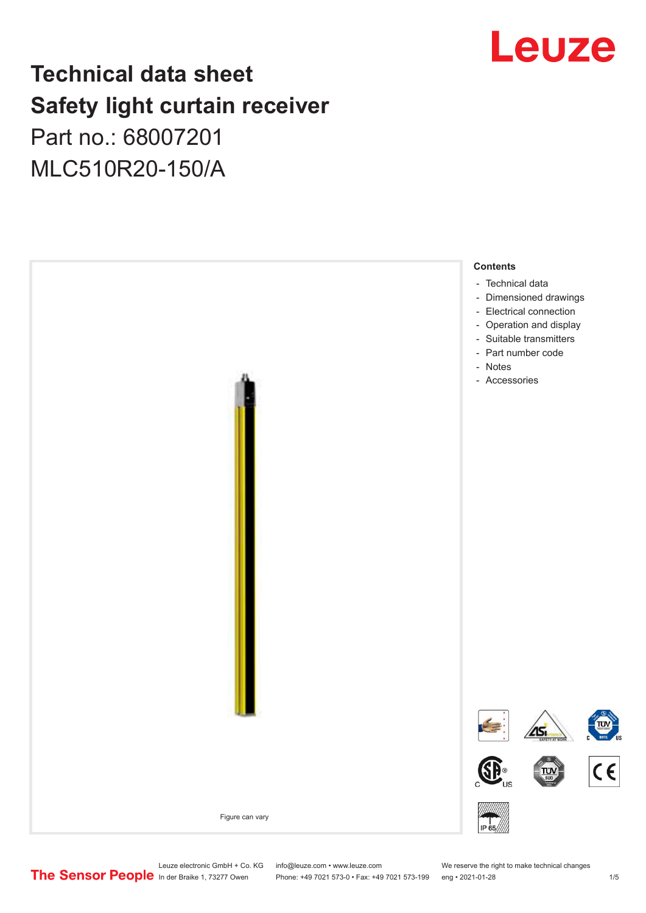## Leuze

## **Technical data sheet Safety light curtain receiver**

Part no.: 68007201 MLC510R20-150/A



Leuze electronic GmbH + Co. KG info@leuze.com • www.leuze.com We reserve the right to make technical changes<br>
The Sensor People in der Braike 1, 73277 Owen Phone: +49 7021 573-0 • Fax: +49 7021 573-199 eng • 2021-01-28

Phone: +49 7021 573-0 • Fax: +49 7021 573-199 eng • 2021-01-28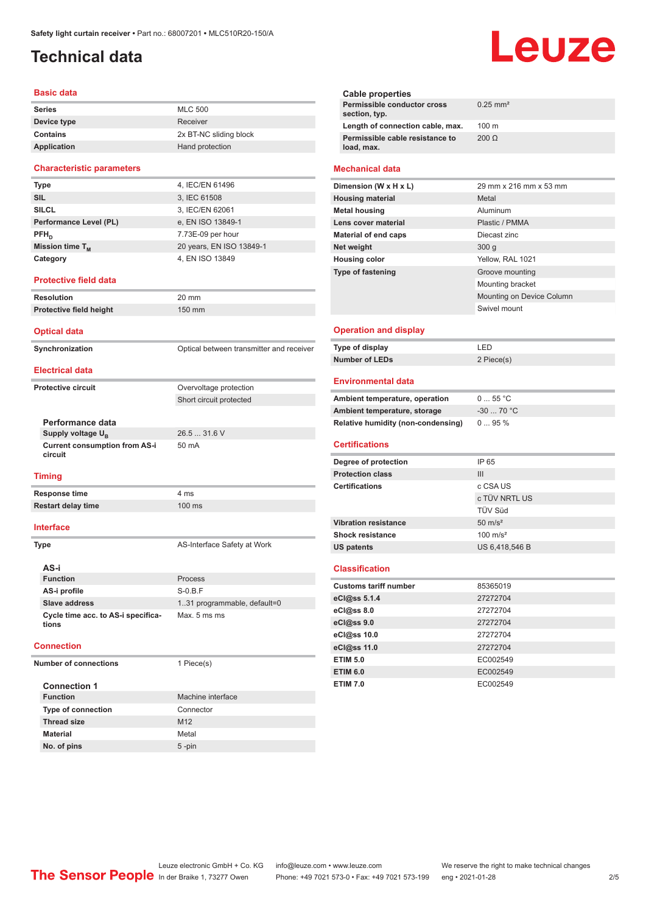## <span id="page-1-0"></span>**Technical data**

#### **Basic data**

| <b>Series</b> | <b>MLC 500</b>         |
|---------------|------------------------|
| Device type   | Receiver               |
| Contains      | 2x BT-NC sliding block |
| Application   | Hand protection        |

#### **Characteristic parameters**

| Type                        | 4, IEC/EN 61496          |
|-----------------------------|--------------------------|
| <b>SIL</b>                  | 3, IEC 61508             |
| <b>SILCL</b>                | 3, IEC/EN 62061          |
| Performance Level (PL)      | e, EN ISO 13849-1        |
| $PFH_n$                     | 7.73E-09 per hour        |
| Mission time T <sub>M</sub> | 20 years, EN ISO 13849-1 |
| Category                    | 4, EN ISO 13849          |

#### **Protective field data**

| Resolution              | $20 \text{ mm}$  |
|-------------------------|------------------|
| Protective field height | $150 \text{ mm}$ |
|                         |                  |

#### **Optical data**

**Synchronization Synchronization** Optical between transmitter and receiver

#### **Electrical data**

**Protective circuit COVER COVER COVER COVER COVER COVER COVER COVER COVER COVER COVER COVER COVER COVER COVER** 

## **Performance data Supply voltage U<sub>B</sub> Current consumption from AS-i**

**circuit**

#### **Timing**

**Response time** 4 ms **Restart delay time** 100 ms

#### **Interface**

**Type** AS-Interface Safety at Work

Short circuit protected

26.5 ... 31.6 V

50 mA

| AS-i                                        |                              |
|---------------------------------------------|------------------------------|
| <b>Function</b>                             | Process                      |
| AS-i profile                                | $S-0.B.F$                    |
| Slave address                               | 1.31 programmable, default=0 |
| Cycle time acc. to AS-i specifica-<br>tions | Max. 5 ms ms                 |

#### **Connection**

**Number of connections** 1 Piece(s)

| <b>Connection 1</b>       |                   |
|---------------------------|-------------------|
| <b>Function</b>           | Machine interface |
| <b>Type of connection</b> | Connector         |
| <b>Thread size</b>        | M <sub>12</sub>   |
| <b>Material</b>           | Metal             |
| No. of pins               | $5$ -pin          |

**Cable properties Permissible conductor cross section, typ.** 0.25 mm² **Length of connection cable, max.** 100 m **Permissible cable resistance to load, max.** 200 Ω

#### **Mechanical data**

| Dimension (W x H x L)       | 29 mm x 216 mm x 53 mm    |
|-----------------------------|---------------------------|
| <b>Housing material</b>     | Metal                     |
| <b>Metal housing</b>        | Aluminum                  |
| Lens cover material         | Plastic / PMMA            |
| <b>Material of end caps</b> | Diecast zinc              |
| Net weight                  | 300q                      |
| <b>Housing color</b>        | Yellow, RAL 1021          |
| <b>Type of fastening</b>    | Groove mounting           |
|                             | Mounting bracket          |
|                             | Mounting on Device Column |
|                             | Swivel mount              |
|                             |                           |

#### **Operation and display**

| Type of display | ' FD.      |
|-----------------|------------|
| Number of LEDs  | 2 Piece(s) |

#### **Environmental data**

| Ambient temperature, operation     | 055 °C     |
|------------------------------------|------------|
| Ambient temperature, storage       | $-3070 °C$ |
| Relative humidity (non-condensing) | $095\%$    |

### **Certifications**

| Degree of protection<br>IP 65                     |
|---------------------------------------------------|
|                                                   |
| <b>Protection class</b><br>Ш                      |
| <b>Certifications</b><br>c CSA US                 |
| c TÜV NRTL US                                     |
| <b>TÜV Süd</b>                                    |
| $50 \text{ m/s}^2$<br><b>Vibration resistance</b> |
| <b>Shock resistance</b><br>$100 \text{ m/s}^2$    |
| US 6,418,546 B<br><b>US patents</b>               |

#### **Classification**

| <b>Customs tariff number</b> | 85365019 |
|------------------------------|----------|
| eCl@ss 5.1.4                 | 27272704 |
| eCl@ss 8.0                   | 27272704 |
| eCl@ss 9.0                   | 27272704 |
| eCl@ss 10.0                  | 27272704 |
| eCl@ss 11.0                  | 27272704 |
| <b>ETIM 5.0</b>              | EC002549 |
| <b>ETIM 6.0</b>              | EC002549 |
| <b>ETIM 7.0</b>              | EC002549 |

# Leuze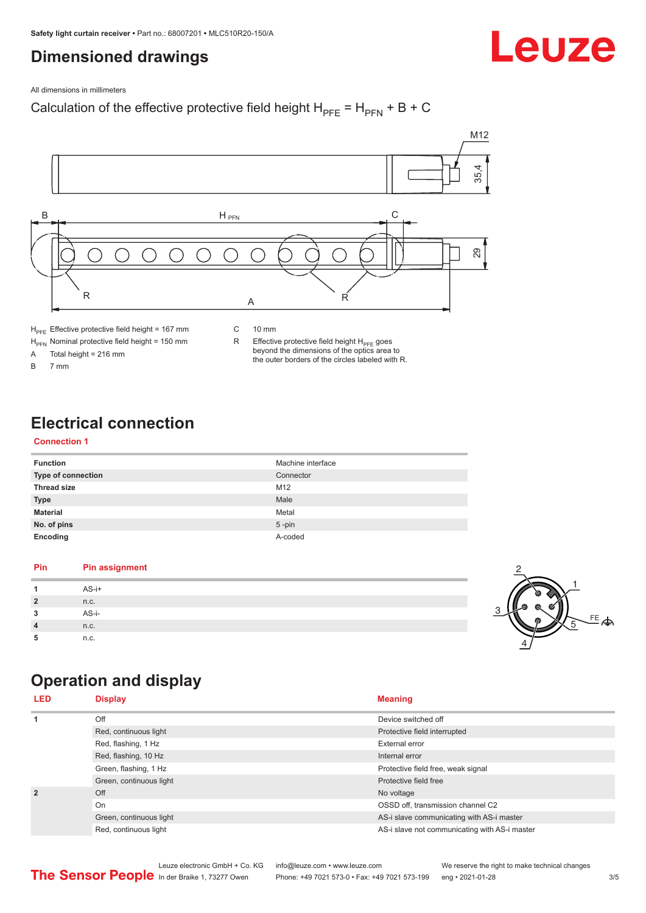## <span id="page-2-0"></span>**Dimensioned drawings**

# Leuze

All dimensions in millimeters

## Calculation of the effective protective field height  $H_{PFE} = H_{PFN} + B + C$



 $H<sub>PFE</sub>$  Effective protective field height = 167 mm

 $H_{\text{PFN}}$  Nominal protective field height = 150 mm<br>A Total height = 216 mm

Total height =  $216$  mm

B 7 mm

C 10 mm

R Effective protective field height  $H_{PFE}$  goes beyond the dimensions of the optics area to the outer borders of the circles labeled with R.

## **Electrical connection**

## **Connection 1**

| <b>Function</b>           | Machine interface |
|---------------------------|-------------------|
| <b>Type of connection</b> | Connector         |
| <b>Thread size</b>        | M <sub>12</sub>   |
| <b>Type</b>               | Male              |
| <b>Material</b>           | Metal             |
| No. of pins               | $5$ -pin          |
| Encoding                  | A-coded           |

## **Pin Pin assignment 1** AS-i+ **2** n.c. **3** AS-i-**4** n.c. **5** n.c.



## **Operation and display**

| <b>LED</b>     | <b>Display</b>          | <b>Meaning</b>                                |
|----------------|-------------------------|-----------------------------------------------|
| $\mathbf{1}$   | Off                     | Device switched off                           |
|                | Red, continuous light   | Protective field interrupted                  |
|                | Red, flashing, 1 Hz     | External error                                |
|                | Red, flashing, 10 Hz    | Internal error                                |
|                | Green, flashing, 1 Hz   | Protective field free, weak signal            |
|                | Green, continuous light | Protective field free                         |
| $\overline{2}$ | Off                     | No voltage                                    |
|                | On                      | OSSD off, transmission channel C2             |
|                | Green, continuous light | AS-i slave communicating with AS-i master     |
|                | Red, continuous light   | AS-i slave not communicating with AS-i master |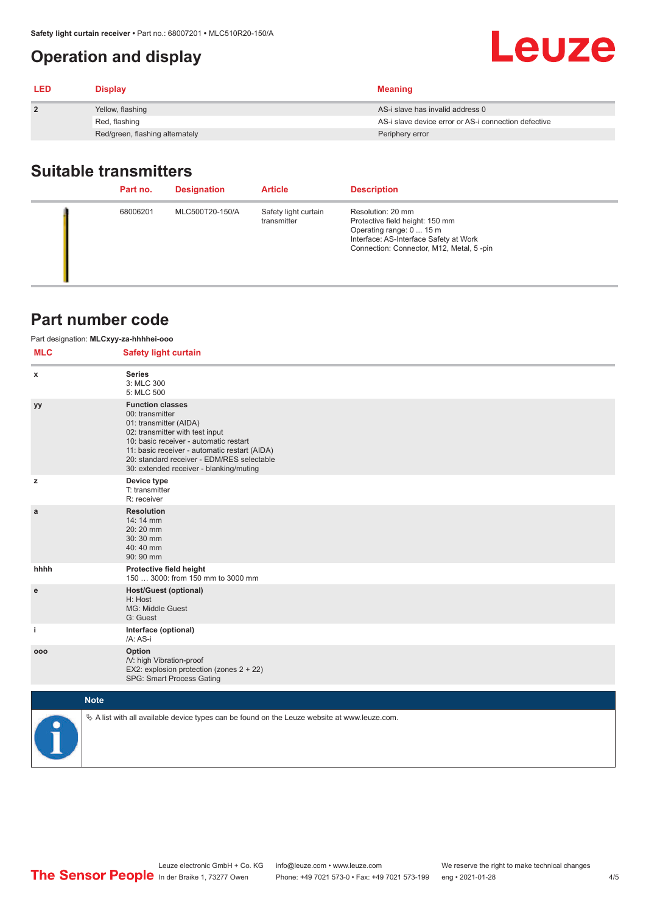## <span id="page-3-0"></span>**Operation and display**

| <b>LED</b>   | <b>Display</b>                  | <b>Meaning</b>                                       |
|--------------|---------------------------------|------------------------------------------------------|
| $\mathbf{2}$ | Yellow, flashing                | AS-i slave has invalid address 0                     |
|              | Red, flashing                   | AS-i slave device error or AS-i connection defective |
|              | Red/green, flashing alternately | Periphery error                                      |

## **Suitable transmitters**

| Part no. | <b>Designation</b> | <b>Article</b>                      | <b>Description</b>                                                                                                                                                     |
|----------|--------------------|-------------------------------------|------------------------------------------------------------------------------------------------------------------------------------------------------------------------|
| 68006201 | MLC500T20-150/A    | Safety light curtain<br>transmitter | Resolution: 20 mm<br>Protective field height: 150 mm<br>Operating range: 0  15 m<br>Interface: AS-Interface Safety at Work<br>Connection: Connector, M12, Metal, 5-pin |

## **Part number code**

|            | Part designation: MLCxyy-za-hhhhei-ooo                                                                                                                                                                                                                                                      |  |
|------------|---------------------------------------------------------------------------------------------------------------------------------------------------------------------------------------------------------------------------------------------------------------------------------------------|--|
| <b>MLC</b> | <b>Safety light curtain</b>                                                                                                                                                                                                                                                                 |  |
| x          | <b>Series</b><br>3: MLC 300<br>5: MLC 500                                                                                                                                                                                                                                                   |  |
| уy         | <b>Function classes</b><br>00: transmitter<br>01: transmitter (AIDA)<br>02: transmitter with test input<br>10: basic receiver - automatic restart<br>11: basic receiver - automatic restart (AIDA)<br>20: standard receiver - EDM/RES selectable<br>30: extended receiver - blanking/muting |  |
| z          | Device type<br>T: transmitter<br>R: receiver                                                                                                                                                                                                                                                |  |
| a          | <b>Resolution</b><br>14: 14 mm<br>20:20 mm<br>30:30 mm<br>40:40 mm<br>90: 90 mm                                                                                                                                                                                                             |  |
| hhhh       | Protective field height<br>150  3000: from 150 mm to 3000 mm                                                                                                                                                                                                                                |  |
| e          | <b>Host/Guest (optional)</b><br>H: Host<br>MG: Middle Guest<br>G: Guest                                                                                                                                                                                                                     |  |
| j.         | Interface (optional)<br>/A: AS-i                                                                                                                                                                                                                                                            |  |
| 000        | Option<br>/V: high Vibration-proof<br>EX2: explosion protection (zones 2 + 22)<br>SPG: Smart Process Gating                                                                                                                                                                                 |  |
|            | <b>Note</b>                                                                                                                                                                                                                                                                                 |  |
|            | $\&$ A list with all available device types can be found on the Leuze website at www.leuze.com.                                                                                                                                                                                             |  |

Leuze